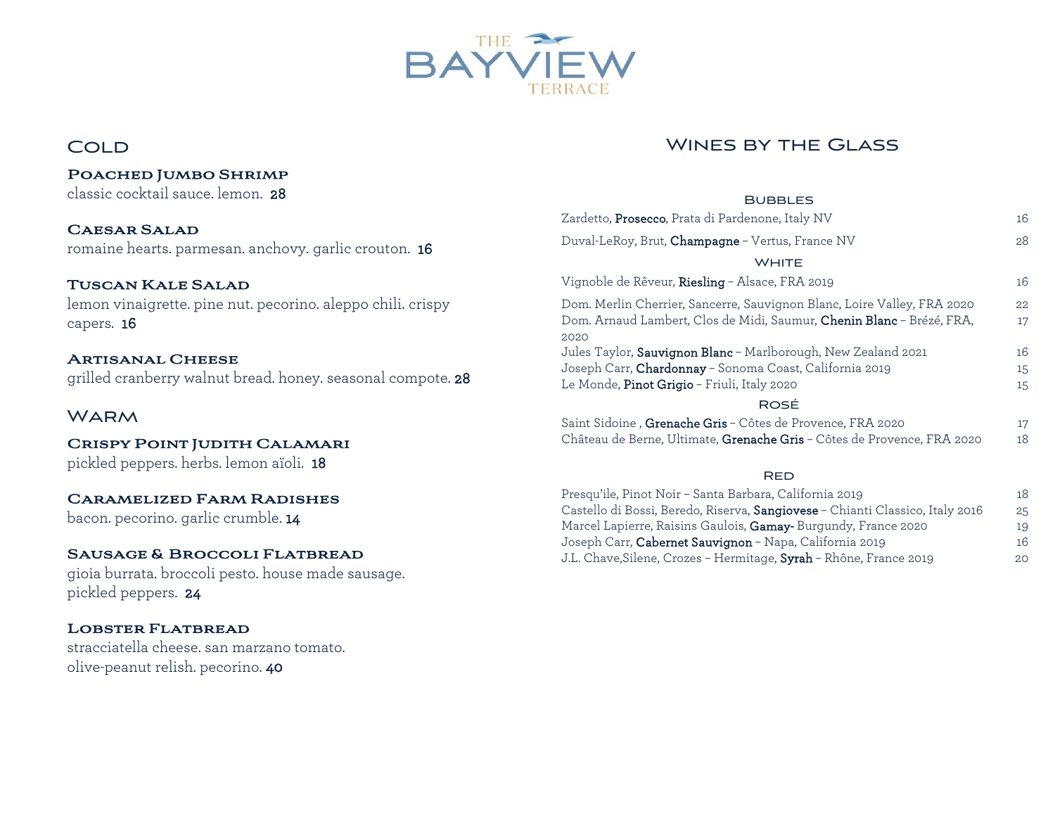

# **COLD**

Poached Jumbo Shrimp

# Wines by the Glass

| classic cocktail sauce. lemon. 28                                                      | <b>BUBBLES</b>                                                                |    |
|----------------------------------------------------------------------------------------|-------------------------------------------------------------------------------|----|
| <b>CAESAR SALAD</b><br>romaine hearts. parmesan. anchovy. garlic crouton. 16           | Zardetto, Prosecco, Prata di Pardenone, Italy NV                              | 16 |
|                                                                                        | Duval-LeRoy, Brut, Champagne - Vertus, France NV                              | 28 |
|                                                                                        | <b>WHITE</b>                                                                  |    |
| <b>TUSCAN KALE SALAD</b>                                                               | Vignoble de Rêveur, Riesling - Alsace, FRA 2019                               | 16 |
| lemon vinaigrette. pine nut. pecorino. aleppo chili. crispy                            | Dom. Merlin Cherrier, Sancerre, Sauvignon Blanc, Loire Valley, FRA 2020       | 22 |
| capers. 16                                                                             | Dom. Arnaud Lambert, Clos de Midi, Saumur, Chenin Blanc - Brézé, FRA,<br>2020 | 17 |
| <b>ARTISANAL CHEESE</b><br>grilled cranberry walnut bread. honey. seasonal compote. 28 | Jules Taylor, Sauvignon Blanc - Marlborough, New Zealand 2021                 | 16 |
|                                                                                        | Joseph Carr, Chardonnay - Sonoma Coast, California 2019                       | 15 |
|                                                                                        | Le Monde, Pinot Grigio - Friuli, Italy 2020                                   | 15 |
| <b>WARM</b>                                                                            | ROSÉ                                                                          |    |
|                                                                                        | Saint Sidoine, Grenache Gris - Côtes de Provence, FRA 2020                    | 17 |
| CRISPY POINT JUDITH CALAMARI                                                           | Château de Berne, Ultimate, Grenache Gris - Côtes de Provence, FRA 2020       | 18 |
| pickled peppers. herbs. lemon aïoli. 18                                                |                                                                               |    |
|                                                                                        | <b>RED</b>                                                                    |    |
| <b>CARAMELIZED FARM RADISHES</b><br>bacon. pecorino. garlic crumble. 14                | Presqu'ile, Pinot Noir - Santa Barbara, California 2019                       | 18 |
|                                                                                        | Castello di Bossi, Beredo, Riserva, Sangiovese - Chianti Classico, Italy 2016 | 25 |
|                                                                                        | Marcel Lapierre, Raisins Gaulois, Gamay-Burgundy, France 2020                 | 19 |
| SAUSAGE & BROCCOLI FLATBREAD                                                           | Joseph Carr, Cabernet Sauvignon - Napa, California 2019                       | 16 |
|                                                                                        | J.L. Chave, Silene, Crozes - Hermitage, Syrah - Rhône, France 2019            | 20 |

gioia burrata. broccoli pesto. house made sausage. pickled peppers. 24

## Lobster Flatbread

stracciatella cheese. san marzano tomato. olive-peanut relish. pecorino. 40